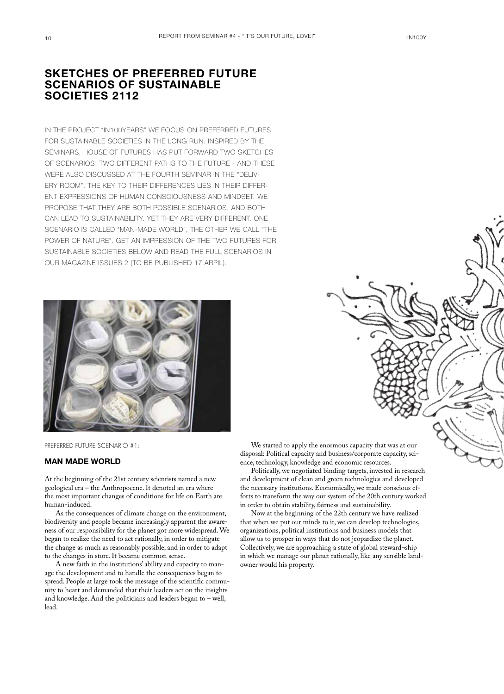## Sketches of preferred future scenarios of sustainable societies 2112

In the project "In100years" we focus on preferred futures for sustainable societies in the long run. Inspired by the seminars, House of Futures has put forward two sketches of scenarios: Two different paths to the future - and these were also discussed at the fourth seminar in the "delivery room". The key to their differences lies in their different expressions of human consciousness and mindset. We propose that they are both possible scenarios, and both can lead to sustainability. Yet they are very different. One scenario is called "Man-made World", the other we call "The Power of Nature". Get an impression of the two futures for sustainable societies below and read the full scenarios in our magazine issues 2 (to be published 17 arpil).



Preferred Future Scenario #1:

## Man Made World

At the beginning of the 21st century scientists named a new geological era – the Anthropocene. It denoted an era where the most important changes of conditions for life on Earth are human-induced.

As the consequences of climate change on the environment, biodiversity and people became increasingly apparent the awareness of our responsibility for the planet got more widespread. We began to realize the need to act rationally, in order to mitigate the change as much as reasonably possible, and in order to adapt to the changes in store. It became common sense.

A new faith in the institutions' ability and capacity to manage the development and to handle the consequences began to spread. People at large took the message of the scientific community to heart and demanded that their leaders act on the insights and knowledge. And the politicians and leaders began to – well, lead.

We started to apply the enormous capacity that was at our disposal: Political capacity and business/corporate capacity, science, technology, knowledge and economic resources.

Politically, we negotiated binding targets, invested in research and development of clean and green technologies and developed the necessary institutions. Economically, we made conscious efforts to transform the way our system of the 20th century worked in order to obtain stability, fairness and sustainability.

Now at the beginning of the 22th century we have realized that when we put our minds to it, we can develop technologies, organizations, political institutions and business models that allow us to prosper in ways that do not jeopardize the planet. Collectively, we are approaching a state of global steward¬ship in which we manage our planet rationally, like any sensible landowner would his property.